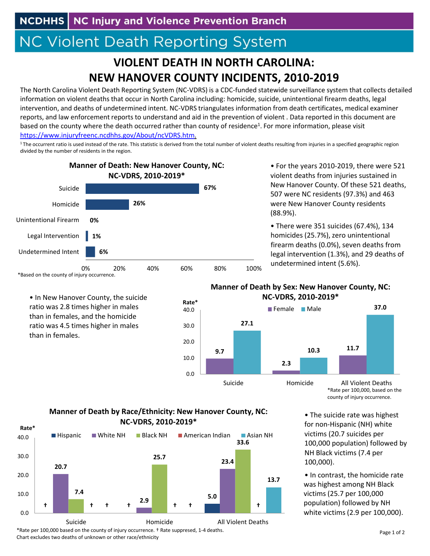## **NC Violent Death Reporting System**

## **VIOLENT DEATH IN NORTH CAROLINA: NEW HANOVER COUNTY INCIDENTS, 2010‐2019**

The North Carolina Violent Death Reporting System (NC‐VDRS) is a CDC‐funded statewide surveillance system that collects detailed information on violent deaths that occur in North Carolina including: homicide, suicide, unintentional firearm deaths, legal intervention, and deaths of undetermined intent. NC‐VDRS triangulates information from death certificates, medical examiner reports, and law enforcement reports to understand and aid in the prevention of violent . Data reported in this document are based on the county where the death occurred rather than county of residence<sup>1</sup>. For more information, please visit https://www.injuryfreenc.ncdhhs.gov/About/ncVDRS.htm.

<sup>1</sup>The occurrent ratio is used instead of the rate. This statistic is derived from the total number of violent deaths resulting from injuries in a specified geographic region divided by the number of residents in the region.



• In New Hanover County, the suicide ratio was 2.8 times higher in males than in females, and the homicide ratio was 4.5 times higher in males

than in females.

• For the years 2010‐2019, there were 521 violent deaths from injuries sustained in New Hanover County. Of these 521 deaths, 507 were NC residents (97.3%) and 463 were New Hanover County residents (88.9%).

homicides (25.7%), zero unintentional firearm deaths (0.0%), seven deaths from legal intervention (1.3%), and 29 deaths of undetermined intent (5.6%). • There were 351 suicides (67.4%), 134

## **Manner of Death by Sex: New Hanover County, NC: NC‐VDRS, 2010‐2019\***



\*Rate per 100,000, based on the county of injury occurrence.

## **Manner of Death by Race/Ethnicity: New Hanover County, NC: NC‐VDRS, 2010‐2019\***



• The suicide rate was highest for non‐Hispanic (NH) white victims (20.7 suicides per 100,000 population) followed by NH Black victims (7.4 per 100,000).

was highest among NH Black victims (25.7 per 100,000 population) followed by NH white victims(2.9 per 100,000). • In contrast, the homicide rate

\*Rate per 100,000 based on the county of injury occurrence. † Rate suppresed, 1‐4 deaths. Chart excludes two deaths of unknown or other race/ethnicity